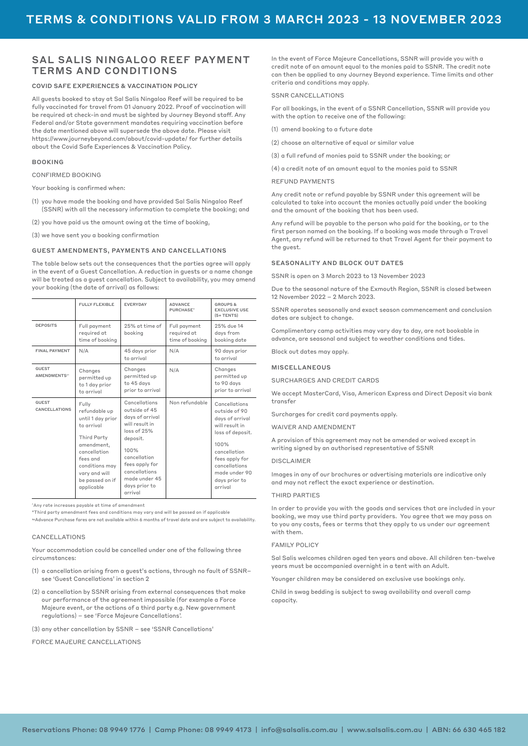# SAL SALIS NINGALOO REEF PAYMENT TERMS AND CONDITIONS

#### COVID SAFE EXPERIENCES & VACCINATION POLICY

All guests booked to stay at Sal Salis Ningaloo Reef will be required to be fully vaccinated for travel from 01 January 2022. Proof of vaccination will be required at check-in and must be sighted by Journey Beyond staff. Any Federal and/or State government mandates requiring vaccination before the date mentioned above will supersede the above date. Please visit <https://www.journeybeyond.com/about/covid-update/> for further details about the Covid Safe Experiences & Vaccination Policy.

#### BOOKING

CONFIRMED BOOKING

Your booking is confirmed when:

- (1) you have made the booking and have provided Sal Salis Ningaloo Reef (SSNR) with all the necessary information to complete the booking; and
- (2) you have paid us the amount owing at the time of booking,

(3) we have sent you a booking confirmation

## GUEST AMENDMENTS, PAYMENTS AND CANCELLATIONS

The table below sets out the consequences that the parties agree will apply in the event of a Guest Cancellation. A reduction in guests or a name change will be treated as a guest cancellation. Subject to availability, you may amend your booking (the date of arrival) as follows:

|                                          | <b>FULLY FLEXIBLE</b>                                                                                                                                                                  | <b>EVERYDAY</b>                                                                                                                                                                                        | <b>ADVANCE</b><br>PURCHASE"                    | <b>GROUPS &amp;</b><br><b>EXCLUSIVE USE</b><br>$(5+TENTS)$                                                                                                                                      |
|------------------------------------------|----------------------------------------------------------------------------------------------------------------------------------------------------------------------------------------|--------------------------------------------------------------------------------------------------------------------------------------------------------------------------------------------------------|------------------------------------------------|-------------------------------------------------------------------------------------------------------------------------------------------------------------------------------------------------|
| <b>DEPOSITS</b>                          | Full payment<br>required at<br>time of booking                                                                                                                                         | 25% at time of<br>booking                                                                                                                                                                              | Full payment<br>required at<br>time of booking | 25% due 14<br>days from<br>booking date                                                                                                                                                         |
| <b>FINAL PAYMENT</b>                     | N/A                                                                                                                                                                                    | 45 days prior<br>to arrival                                                                                                                                                                            | N/A                                            | 90 days prior<br>to arrival                                                                                                                                                                     |
| <b>GUEST</b><br>AMENDMENTS <sup>**</sup> | Changes<br>permitted up<br>to 1 day prior<br>to arrival                                                                                                                                | Changes<br>permitted up<br>to 45 days<br>prior to arrival                                                                                                                                              | N/A                                            | Changes<br>permitted up<br>to 90 days<br>prior to arrival                                                                                                                                       |
| <b>GUEST</b><br>CANCELLATIONS            | Fully<br>refundable up<br>until 1 day prior<br>to arrival<br>Third Party<br>amendment,<br>cancellation<br>fees and<br>conditions may<br>vary and will<br>be passed on if<br>applicable | Cancellations<br>outside of 45<br>days of arrival<br>will result in<br>loss of 25%<br>deposit.<br>100%<br>cancellation<br>fees apply for<br>cancellations<br>made under 45<br>days prior to<br>arrival | Non refundable                                 | Cancellations<br>outside of 90<br>days of arrival<br>will result in<br>loss of deposit.<br>100%<br>cancellation<br>fees apply for<br>cancellations<br>made under 90<br>days prior to<br>arrival |

^Any rate increases payable at time of amendment

\*Third party amendment fees and conditions may vary and will be passed on if applicable ~Advance Purchase fares are not available within 6 months of travel date and are subject to availability.

## CANCELLATIONS

Your accommodation could be cancelled under one of the following three circumstances:

- (1) a cancellation arising from a guest's actions, through no fault of SSNR– see 'Guest Cancellations' in section 2
- (2) a cancellation by SSNR arising from external consequences that make our performance of the agreement impossible (for example a Force Majeure event, or the actions of a third party e.g. New government regulations) – see 'Force Majeure Cancellations'.
- (3) any other cancellation by SSNR see 'SSNR Cancellations'

FORCE MAJEURE CANCELLATIONS

In the event of Force Majeure Cancellations, SSNR will provide you with a credit note of an amount equal to the monies paid to SSNR. The credit note can then be applied to any Journey Beyond experience. Time limits and other criteria and conditions may apply.

#### SSNR CANCELLATIONS

For all bookings, in the event of a SSNR Cancellation, SSNR will provide you with the option to receive one of the following:

- (1) amend booking to a future date
- (2) choose an alternative of equal or similar value
- (3) a full refund of monies paid to SSNR under the booking; or
- (4) a credit note of an amount equal to the monies paid to SSNR

# REFUND PAYMENTS

Any credit note or refund payable by SSNR under this agreement will be calculated to take into account the monies actually paid under the booking and the amount of the booking that has been used.

Any refund will be payable to the person who paid for the booking, or to the first person named on the booking. If a booking was made through a Travel Agent, any refund will be returned to that Travel Agent for their payment to the guest.

#### SEASONALITY AND BLOCK OUT DATES

SSNR is open on 3 March 2023 to 13 November 2023

Due to the seasonal nature of the Exmouth Region, SSNR is closed between 12 November 2022 – 2 March 2023.

SSNR operates seasonally and exact season commencement and conclusion dates are subject to change.

Complimentary camp activities may vary day to day, are not bookable in advance, are seasonal and subject to weather conditions and tides.

Block out dates may apply.

#### MISCELL ANEQUS

SURCHARGES AND CREDIT CARDS

We accept MasterCard, Visa, American Express and Direct Deposit via bank transfer

Surcharges for credit card payments apply.

WAIVER AND AMENDMENT

A provision of this agreement may not be amended or waived except in writing signed by an authorised representative of SSNR

#### DISCLAIMER

Images in any of our brochures or advertising materials are indicative only and may not reflect the exact experience or destination.

#### THIRD PARTIES

In order to provide you with the goods and services that are included in your booking, we may use third party providers. You agree that we may pass on to you any costs, fees or terms that they apply to us under our agreement with them.

#### FAMILY POLICY

Sal Salis welcomes children aged ten years and above. All children ten-twelve years must be accompanied overnight in a tent with an Adult.

Younger children may be considered on exclusive use bookings only.

Child in swag bedding is subject to swag availability and overall camp capacity.